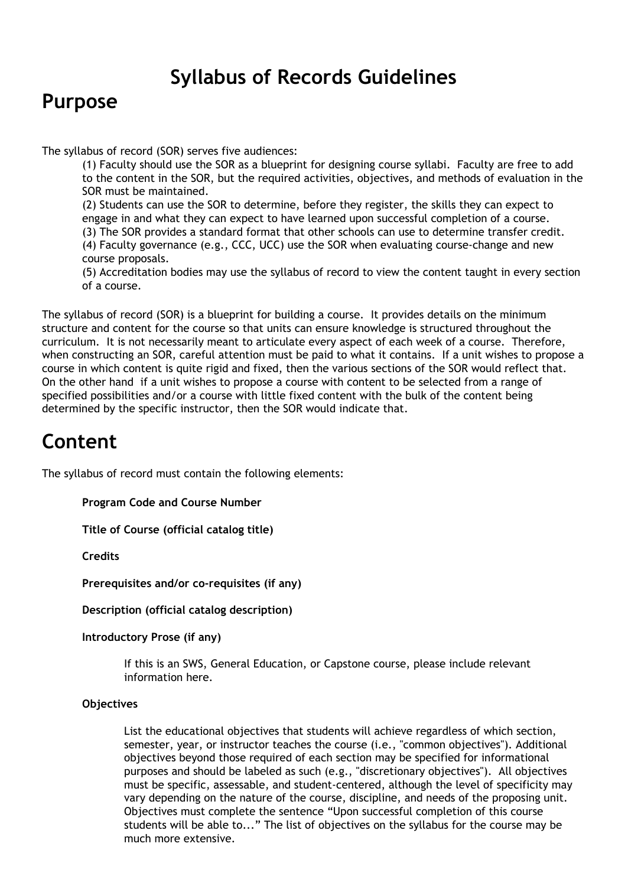# **Syllabus of Records Guidelines**

### **Purpose**

The syllabus of record (SOR) serves five audiences:

(1) Faculty should use the SOR as a blueprint for designing course syllabi. Faculty are free to add to the content in the SOR, but the required activities, objectives, and methods of evaluation in the SOR must be maintained.

(2) Students can use the SOR to determine, before they register, the skills they can expect to engage in and what they can expect to have learned upon successful completion of a course. (3) The SOR provides a standard format that other schools can use to determine transfer credit. (4) Faculty governance (e.g., CCC, UCC) use the SOR when evaluating course‐change and new course proposals.

(5) Accreditation bodies may use the syllabus of record to view the content taught in every section of a course.

The syllabus of record (SOR) is a blueprint for building a course. It provides details on the minimum structure and content for the course so that units can ensure knowledge is structured throughout the curriculum. It is not necessarily meant to articulate every aspect of each week of a course. Therefore, when constructing an SOR, careful attention must be paid to what it contains. If a unit wishes to propose a course in which content is quite rigid and fixed, then the various sections of the SOR would reflect that. On the other hand if a unit wishes to propose a course with content to be selected from a range of specified possibilities and/or a course with little fixed content with the bulk of the content being determined by the specific instructor, then the SOR would indicate that.

# **Content**

The syllabus of record must contain the following elements:

**Program Code and Course Number**

**Title of Course (official catalog title)**

**Credits**

**Prerequisites and/or co‐requisites (if any)**

**Description (official catalog description)**

**Introductory Prose (if any)**

If this is an SWS, General Education, or Capstone course, please include relevant information here.

#### **Objectives**

List the educational objectives that students will achieve regardless of which section, semester, year, or instructor teaches the course (i.e., "common objectives"). Additional objectives beyond those required of each section may be specified for informational purposes and should be labeled as such (e.g., "discretionary objectives"). All objectives must be specific, assessable, and student-centered, although the level of specificity may vary depending on the nature of the course, discipline, and needs of the proposing unit. Objectives must complete the sentence "Upon successful completion of this course students will be able to..." The list of objectives on the syllabus for the course may be much more extensive.